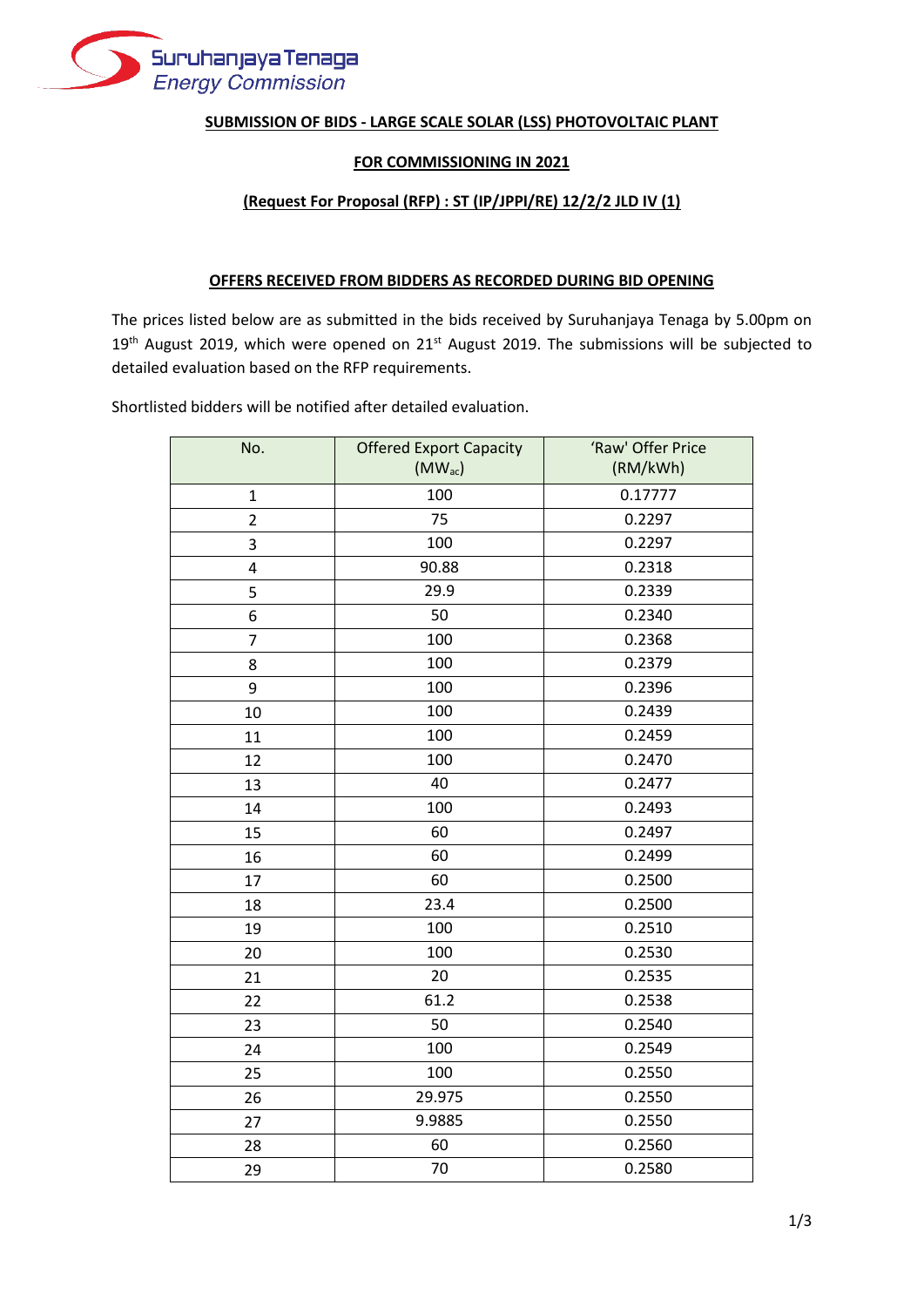

## **SUBMISSION OF BIDS - LARGE SCALE SOLAR (LSS) PHOTOVOLTAIC PLANT**

## **FOR COMMISSIONING IN 2021**

## **(Request For Proposal (RFP) : ST (IP/JPPI/RE) 12/2/2 JLD IV (1)**

## **OFFERS RECEIVED FROM BIDDERS AS RECORDED DURING BID OPENING**

The prices listed below are as submitted in the bids received by Suruhanjaya Tenaga by 5.00pm on  $19<sup>th</sup>$  August 2019, which were opened on 21<sup>st</sup> August 2019. The submissions will be subjected to detailed evaluation based on the RFP requirements.

Shortlisted bidders will be notified after detailed evaluation.

| No.            | <b>Offered Export Capacity</b> | 'Raw' Offer Price |
|----------------|--------------------------------|-------------------|
|                | $(MW_{ac})$                    | (RM/kWh)          |
| $\mathbf{1}$   | 100                            | 0.17777           |
| $\overline{2}$ | 75                             | 0.2297            |
| 3              | 100                            | 0.2297            |
| $\overline{4}$ | 90.88                          | 0.2318            |
| 5              | 29.9                           | 0.2339            |
| 6              | 50                             | 0.2340            |
| $\overline{7}$ | 100                            | 0.2368            |
| 8              | 100                            | 0.2379            |
| 9              | 100                            | 0.2396            |
| 10             | 100                            | 0.2439            |
| 11             | 100                            | 0.2459            |
| 12             | 100                            | 0.2470            |
| 13             | 40                             | 0.2477            |
| 14             | 100                            | 0.2493            |
| 15             | 60                             | 0.2497            |
| 16             | 60                             | 0.2499            |
| 17             | 60                             | 0.2500            |
| 18             | 23.4                           | 0.2500            |
| 19             | 100                            | 0.2510            |
| 20             | 100                            | 0.2530            |
| 21             | 20                             | 0.2535            |
| 22             | 61.2                           | 0.2538            |
| 23             | 50                             | 0.2540            |
| 24             | 100                            | 0.2549            |
| 25             | 100                            | 0.2550            |
| 26             | 29.975                         | 0.2550            |
| 27             | 9.9885                         | 0.2550            |
| 28             | 60                             | 0.2560            |
| 29             | 70                             | 0.2580            |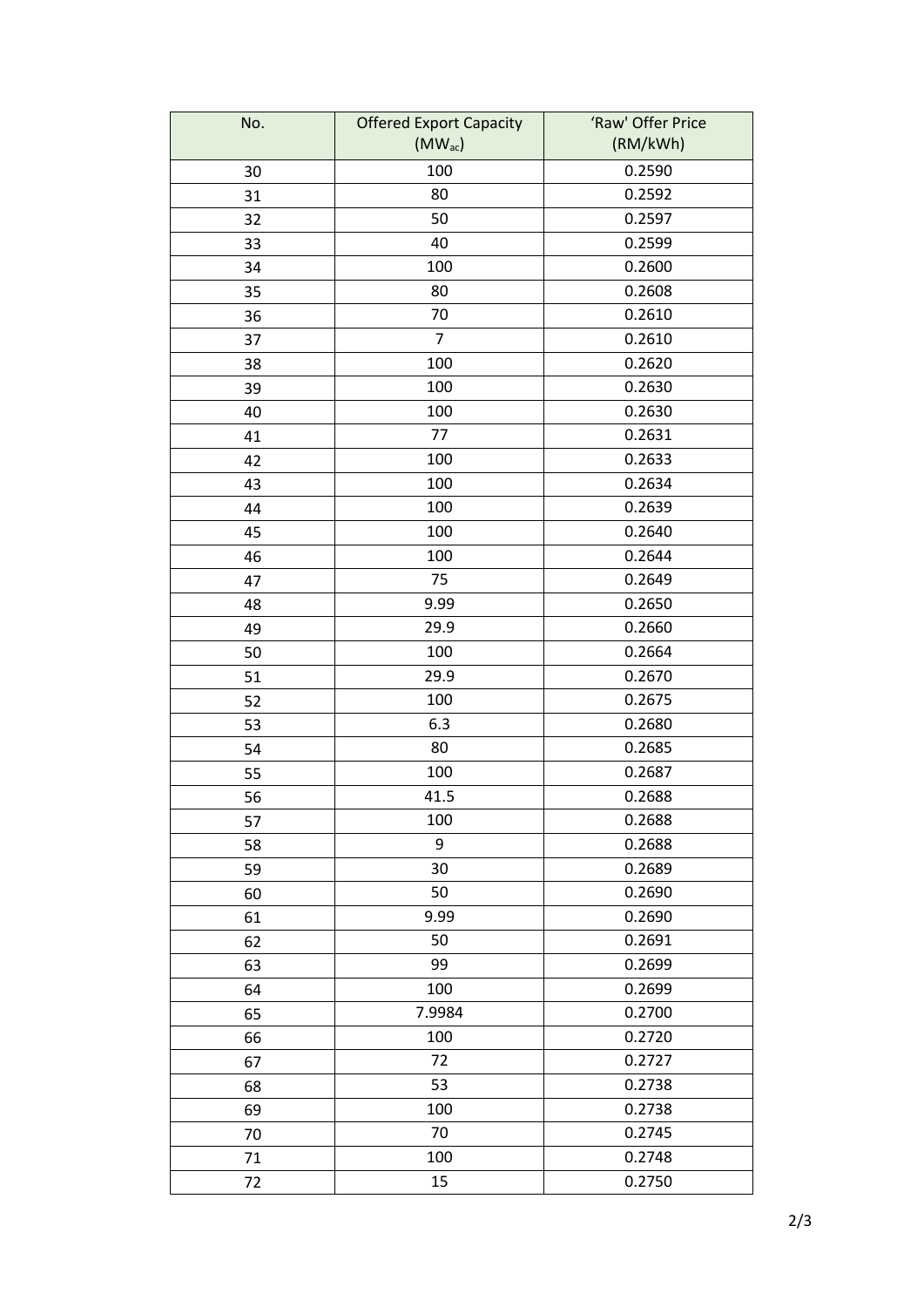| No. | <b>Offered Export Capacity</b> | 'Raw' Offer Price |
|-----|--------------------------------|-------------------|
|     | $(MW_{ac})$                    | (RM/kWh)          |
| 30  | 100                            | 0.2590            |
| 31  | 80                             | 0.2592            |
| 32  | 50                             | 0.2597            |
| 33  | 40                             | 0.2599            |
| 34  | 100                            | 0.2600            |
| 35  | 80                             | 0.2608            |
| 36  | 70                             | 0.2610            |
| 37  | $\overline{7}$                 | 0.2610            |
| 38  | 100                            | 0.2620            |
| 39  | 100                            | 0.2630            |
| 40  | 100                            | 0.2630            |
| 41  | 77                             | 0.2631            |
| 42  | 100                            | 0.2633            |
| 43  | 100                            | 0.2634            |
| 44  | 100                            | 0.2639            |
| 45  | 100                            | 0.2640            |
| 46  | 100                            | 0.2644            |
| 47  | 75                             | 0.2649            |
| 48  | 9.99                           | 0.2650            |
| 49  | 29.9                           | 0.2660            |
| 50  | 100                            | 0.2664            |
| 51  | 29.9                           | 0.2670            |
| 52  | 100                            | 0.2675            |
| 53  | 6.3                            | 0.2680            |
| 54  | 80                             | 0.2685            |
| 55  | 100                            | 0.2687            |
| 56  | 41.5                           | 0.2688            |
| 57  | 100                            | 0.2688            |
| 58  | 9                              | 0.2688            |
| 59  | 30                             | 0.2689            |
| 60  | 50                             | 0.2690            |
| 61  | 9.99                           | 0.2690            |
| 62  | 50                             | 0.2691            |
| 63  | 99                             | 0.2699            |
| 64  | 100                            | 0.2699            |
| 65  | 7.9984                         | 0.2700            |
| 66  | 100                            | 0.2720            |
| 67  | 72                             | 0.2727            |
| 68  | 53                             | 0.2738            |
| 69  | 100                            | 0.2738            |
| 70  | 70                             | 0.2745            |
| 71  | 100                            | 0.2748            |
| 72  | 15                             | 0.2750            |